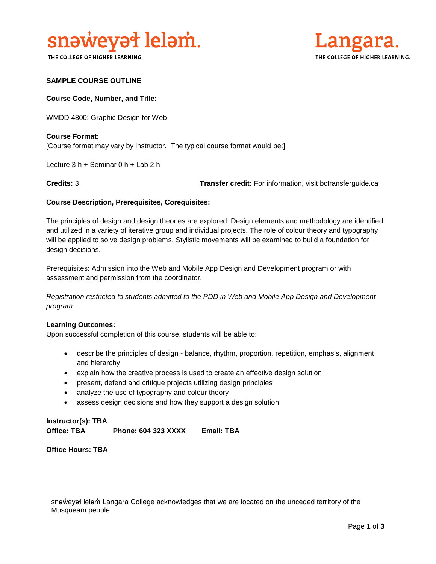

THE COLLEGE OF HIGHER LEARNING.



## **SAMPLE COURSE OUTLINE**

#### **Course Code, Number, and Title:**

WMDD 4800: Graphic Design for Web

# **Course Format:** [Course format may vary by instructor. The typical course format would be:]

Lecture 3 h + Seminar 0 h + Lab 2 h

**Credits:** 3 **Transfer credit:** For information, visit bctransferguide.ca

#### **Course Description, Prerequisites, Corequisites:**

The principles of design and design theories are explored. Design elements and methodology are identified and utilized in a variety of iterative group and individual projects. The role of colour theory and typography will be applied to solve design problems. Stylistic movements will be examined to build a foundation for design decisions.

Prerequisites: Admission into the Web and Mobile App Design and Development program or with assessment and permission from the coordinator.

*Registration restricted to students admitted to the PDD in Web and Mobile App Design and Development program* 

#### **Learning Outcomes:**

Upon successful completion of this course, students will be able to:

- describe the principles of design balance, rhythm, proportion, repetition, emphasis, alignment and hierarchy
- explain how the creative process is used to create an effective design solution
- present, defend and critique projects utilizing design principles
- analyze the use of typography and colour theory
- assess design decisions and how they support a design solution

# **Instructor(s): TBA**

**Office: TBA Phone: 604 323 XXXX Email: TBA**

**Office Hours: TBA** 

snaweyał lelam Langara College acknowledges that we are located on the unceded territory of the Musqueam people.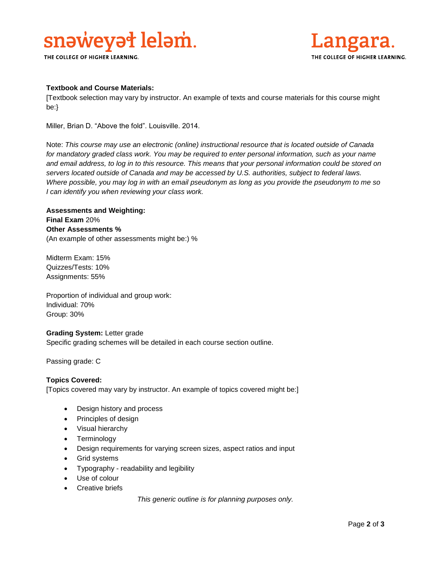

THE COLLEGE OF HIGHER LEARNING.



#### **Textbook and Course Materials:**

[Textbook selection may vary by instructor. An example of texts and course materials for this course might be:}

Miller, Brian D. "Above the fold". Louisville. 2014.

Note: *This course may use an electronic (online) instructional resource that is located outside of Canada*  for mandatory graded class work. You may be required to enter personal information, such as your name *and email address, to log in to this resource. This means that your personal information could be stored on servers located outside of Canada and may be accessed by U.S. authorities, subject to federal laws. Where possible, you may log in with an email pseudonym as long as you provide the pseudonym to me so I can identify you when reviewing your class work.* 

# **Assessments and Weighting: Final Exam** 20% **Other Assessments %**

(An example of other assessments might be:) %

Midterm Exam: 15% Quizzes/Tests: 10% Assignments: 55%

Proportion of individual and group work: Individual: 70% Group: 30%

#### **Grading System:** Letter grade

Specific grading schemes will be detailed in each course section outline.

Passing grade: C

#### **Topics Covered:**

[Topics covered may vary by instructor. An example of topics covered might be:]

- Design history and process
- Principles of design
- Visual hierarchy
- Terminology
- Design requirements for varying screen sizes, aspect ratios and input
- Grid systems
- Typography readability and legibility
- Use of colour
- Creative briefs

*This generic outline is for planning purposes only.*